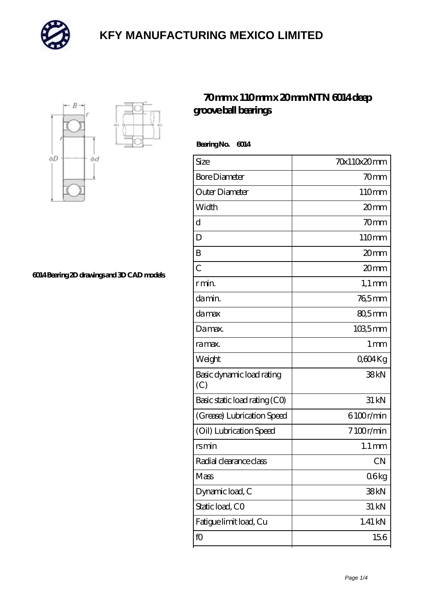



**[6014 Bearing 2D drawings and 3D CAD models](https://m.mailemotion.tv/pic-413077.html)**

#### **[70 mm x 110 mm x 20 mm NTN 6014 deep](https://m.mailemotion.tv/af-413077-ntn-6014-deep-groove-ball-bearings.html) [groove ball bearings](https://m.mailemotion.tv/af-413077-ntn-6014-deep-groove-ball-bearings.html)**

 **Bearing No. 6014**

| Size                             | 70x110x20mm        |
|----------------------------------|--------------------|
| <b>Bore Diameter</b>             | 70 <sub>mm</sub>   |
| Outer Diameter                   | 110mm              |
| Width                            | 20mm               |
| d                                | 70 <sub>mm</sub>   |
| D                                | 110mm              |
| B                                | 20 <sub>mm</sub>   |
| $\overline{C}$                   | 20 <sub>mm</sub>   |
| r min.                           | $1,1 \text{ mm}$   |
| da min.                          | $765$ mm           |
| damax                            | 80,5mm             |
| Damax.                           | 1035mm             |
| ra max.                          | 1 <sub>mm</sub>    |
| Weight                           | Q604Kg             |
| Basic dynamic load rating<br>(C) | 38kN               |
| Basic static load rating (CO)    | 31 kN              |
| (Grease) Lubrication Speed       | 6100r/min          |
| (Oil) Lubrication Speed          | 7100r/min          |
| <b>rsmin</b>                     | $1.1 \, \text{mm}$ |
| Radial clearance class           | <b>CN</b>          |
| Mass                             | 06kg               |
| Dynamic load, C                  | 38kN               |
| Static load, CO                  | 31 kN              |
| Fatigue limit load, Cu           | 1.41 kN            |
| fO                               | 156                |
|                                  |                    |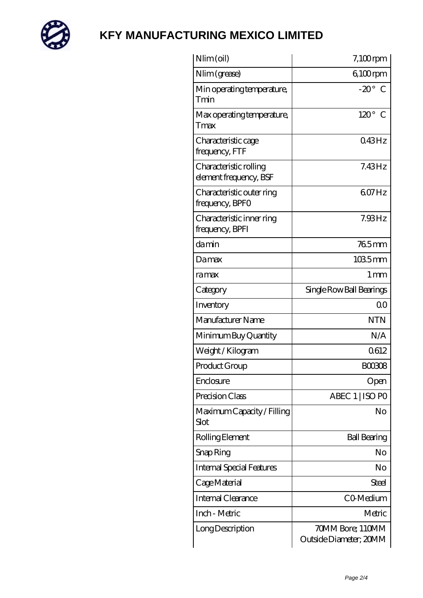

| Nlim (oil)                                       | $7,100$ rpm                                |
|--------------------------------------------------|--------------------------------------------|
| Nlim (grease)                                    | $6100$ rpm                                 |
| Min operating temperature,<br>Tmin               | $-20^\circ$ C                              |
| Max operating temperature,<br>Tmax               | $120^\circ$ C                              |
| Characteristic cage<br>frequency, FTF            | 043Hz                                      |
| Characteristic rolling<br>element frequency, BSF | $7.43\text{Hz}$                            |
| Characteristic outer ring<br>frequency, BPFO     | 607Hz                                      |
| Characteristic inner ring<br>frequency, BPFI     | 7.93Hz                                     |
| damin                                            | 765mm                                      |
| Damax                                            | $1035$ mm                                  |
| ramax                                            | $1 \,\mathrm{mm}$                          |
| Category                                         | Single Row Ball Bearings                   |
| Inventory                                        | 00                                         |
| Manufacturer Name                                | <b>NTN</b>                                 |
| Minimum Buy Quantity                             | N/A                                        |
| Weight /Kilogram                                 | 0612                                       |
| Product Group                                    | BOO3O8                                     |
| Enclosure                                        | Open                                       |
| Precision Class                                  | ABEC 1   ISO PO                            |
| Maximum Capacity / Filling<br>Slot               | No                                         |
| Rolling Element                                  | <b>Ball Bearing</b>                        |
| Snap Ring                                        | No                                         |
| <b>Internal Special Features</b>                 | No                                         |
| Cage Material                                    | Steel                                      |
| Internal Clearance                               | CO-Medium                                  |
| Inch - Metric                                    | Metric                                     |
| Long Description                                 | 70MM Bore; 110MM<br>Outside Diameter; 20MM |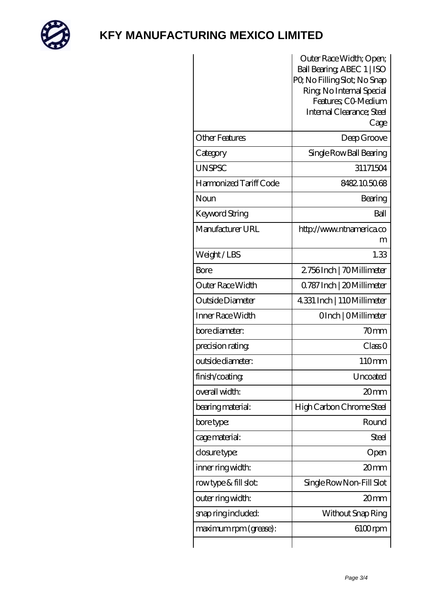

|                        | Outer Race Width; Open;                          |
|------------------------|--------------------------------------------------|
|                        | Ball Bearing ABEC 1   ISO                        |
|                        | PQ No Filling Slot; No Snap                      |
|                        | Ring, No Internal Special                        |
|                        | Features; CO-Medium<br>Internal Clearance; Steel |
|                        | Cage                                             |
| <b>Other Features</b>  | Deep Groove                                      |
| Category               | Single Row Ball Bearing                          |
| <b>UNSPSC</b>          | 31171504                                         |
| Harmonized Tariff Code | 8482105068                                       |
| Noun                   | Bearing                                          |
| Keyword String         | Ball                                             |
| Manufacturer URL       | http://www.ntnamerica.co<br>m                    |
| Weight/LBS             | 1.33                                             |
| Bore                   | 2.756Inch   70Millimeter                         |
| Outer Race Width       | 0.787 Inch   20 Millimeter                       |
| Outside Diameter       | 4.331 Inch   110Millimeter                       |
| Inner Race Width       | OInch   OMillimeter                              |
| bore diameter:         | 70mm                                             |
| precision rating       | Class 0                                          |
| outside diameter:      | 110mm                                            |
| finish/coating         | Uncoated                                         |
| overall width:         | 20mm                                             |
| bearing material:      | High Carbon Chrome Steel                         |
| bore type:             | Round                                            |
| cage material:         | Steel                                            |
| closure type:          | Open                                             |
| inner ring width:      | 20mm                                             |
| rowtype & fill slot:   | Single Row Non-Fill Slot                         |
| outer ring width:      | 20mm                                             |
| snap ring included:    | Without Snap Ring                                |
| maximum rpm (grease):  | $6100$ rpm                                       |
|                        |                                                  |